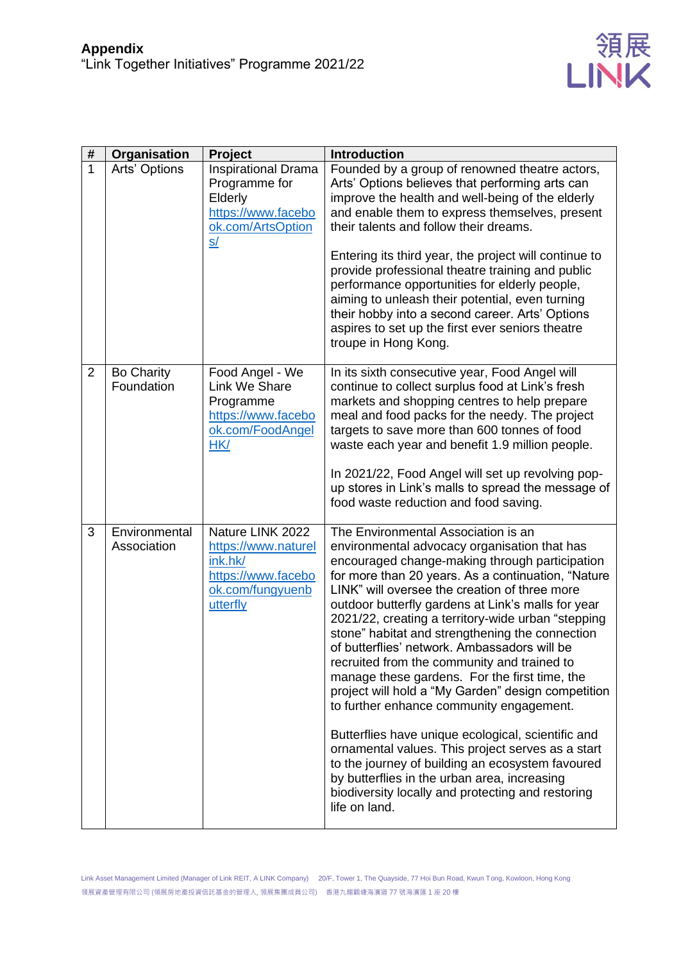

| #              | Organisation                    | <b>Project</b>                                                                                           | <b>Introduction</b>                                                                                                                                                                                                                                                                                                                                                                                                                                                                                                                                                                                                                                                                                                                                                      |
|----------------|---------------------------------|----------------------------------------------------------------------------------------------------------|--------------------------------------------------------------------------------------------------------------------------------------------------------------------------------------------------------------------------------------------------------------------------------------------------------------------------------------------------------------------------------------------------------------------------------------------------------------------------------------------------------------------------------------------------------------------------------------------------------------------------------------------------------------------------------------------------------------------------------------------------------------------------|
| $\mathbf 1$    | Arts' Options                   | <b>Inspirational Drama</b><br>Programme for<br>Elderly<br>https://www.facebo<br>ok.com/ArtsOption<br>S/  | Founded by a group of renowned theatre actors,<br>Arts' Options believes that performing arts can<br>improve the health and well-being of the elderly<br>and enable them to express themselves, present<br>their talents and follow their dreams.<br>Entering its third year, the project will continue to<br>provide professional theatre training and public<br>performance opportunities for elderly people,<br>aiming to unleash their potential, even turning                                                                                                                                                                                                                                                                                                       |
|                |                                 |                                                                                                          | their hobby into a second career. Arts' Options<br>aspires to set up the first ever seniors theatre<br>troupe in Hong Kong.                                                                                                                                                                                                                                                                                                                                                                                                                                                                                                                                                                                                                                              |
| $\overline{2}$ | <b>Bo Charity</b><br>Foundation | Food Angel - We<br>Link We Share<br>Programme<br>https://www.facebo<br>ok.com/FoodAngel<br>HK/           | In its sixth consecutive year, Food Angel will<br>continue to collect surplus food at Link's fresh<br>markets and shopping centres to help prepare<br>meal and food packs for the needy. The project<br>targets to save more than 600 tonnes of food<br>waste each year and benefit 1.9 million people.                                                                                                                                                                                                                                                                                                                                                                                                                                                                  |
|                |                                 |                                                                                                          | In 2021/22, Food Angel will set up revolving pop-<br>up stores in Link's malls to spread the message of<br>food waste reduction and food saving.                                                                                                                                                                                                                                                                                                                                                                                                                                                                                                                                                                                                                         |
| 3              | Environmental<br>Association    | Nature LINK 2022<br>https://www.naturel<br>ink.hk/<br>https://www.facebo<br>ok.com/fungyuenb<br>utterfly | The Environmental Association is an<br>environmental advocacy organisation that has<br>encouraged change-making through participation<br>for more than 20 years. As a continuation, "Nature<br>LINK" will oversee the creation of three more<br>outdoor butterfly gardens at Link's malls for year<br>2021/22, creating a territory-wide urban "stepping<br>stone" habitat and strengthening the connection<br>of butterflies' network. Ambassadors will be<br>recruited from the community and trained to<br>manage these gardens. For the first time, the<br>project will hold a "My Garden" design competition<br>to further enhance community engagement.<br>Butterflies have unique ecological, scientific and<br>ornamental values. This project serves as a start |
|                |                                 |                                                                                                          | to the journey of building an ecosystem favoured<br>by butterflies in the urban area, increasing<br>biodiversity locally and protecting and restoring<br>life on land.                                                                                                                                                                                                                                                                                                                                                                                                                                                                                                                                                                                                   |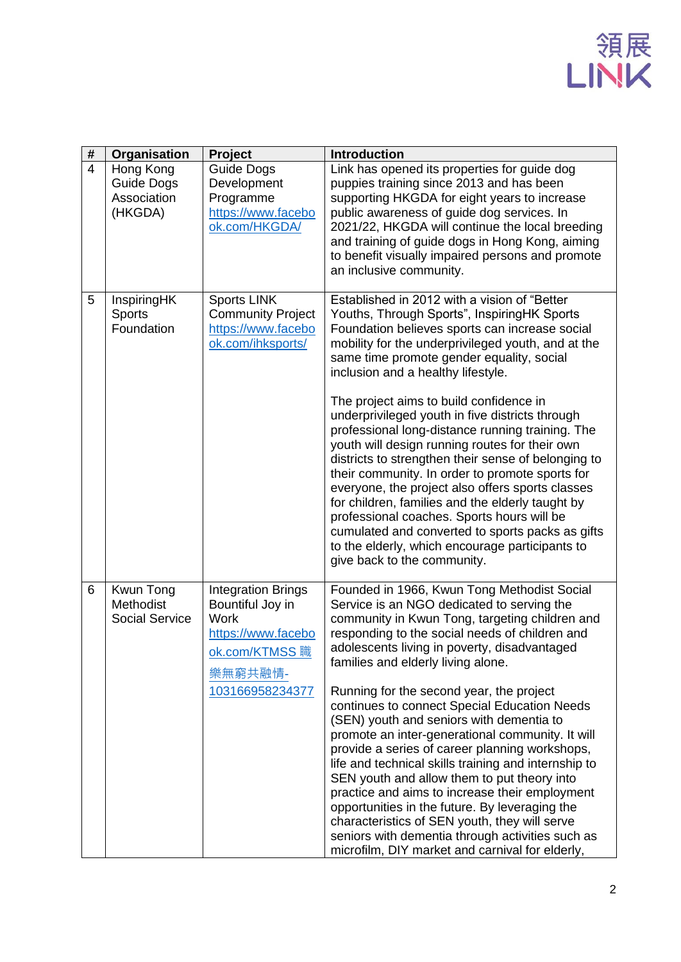

| #              | Organisation                                             | Project                                                                                                                            | <b>Introduction</b>                                                                                                                                                                                                                                                                                                                                                                                                                                                                                                                                                                                                                                                                                                                                                                                                                                                                                  |
|----------------|----------------------------------------------------------|------------------------------------------------------------------------------------------------------------------------------------|------------------------------------------------------------------------------------------------------------------------------------------------------------------------------------------------------------------------------------------------------------------------------------------------------------------------------------------------------------------------------------------------------------------------------------------------------------------------------------------------------------------------------------------------------------------------------------------------------------------------------------------------------------------------------------------------------------------------------------------------------------------------------------------------------------------------------------------------------------------------------------------------------|
| $\overline{4}$ | Hong Kong<br><b>Guide Dogs</b><br>Association<br>(HKGDA) | <b>Guide Dogs</b><br>Development<br>Programme<br>https://www.facebo<br>ok.com/HKGDA/                                               | Link has opened its properties for guide dog<br>puppies training since 2013 and has been<br>supporting HKGDA for eight years to increase<br>public awareness of guide dog services. In<br>2021/22, HKGDA will continue the local breeding<br>and training of guide dogs in Hong Kong, aiming<br>to benefit visually impaired persons and promote<br>an inclusive community.                                                                                                                                                                                                                                                                                                                                                                                                                                                                                                                          |
| 5              | InspiringHK<br>Sports<br>Foundation                      | <b>Sports LINK</b><br><b>Community Project</b><br>https://www.facebo<br>ok.com/ihksports/                                          | Established in 2012 with a vision of "Better<br>Youths, Through Sports", InspiringHK Sports<br>Foundation believes sports can increase social<br>mobility for the underprivileged youth, and at the<br>same time promote gender equality, social<br>inclusion and a healthy lifestyle.<br>The project aims to build confidence in<br>underprivileged youth in five districts through<br>professional long-distance running training. The<br>youth will design running routes for their own<br>districts to strengthen their sense of belonging to<br>their community. In order to promote sports for<br>everyone, the project also offers sports classes<br>for children, families and the elderly taught by<br>professional coaches. Sports hours will be<br>cumulated and converted to sports packs as gifts<br>to the elderly, which encourage participants to<br>give back to the community.     |
| 6              | Kwun Tong<br>Methodist<br><b>Social Service</b>          | <b>Integration Brings</b><br>Bountiful Joy in<br><b>Work</b><br>https://www.facebo<br>ok.com/KTMSS 職<br>樂無窮共融情-<br>103166958234377 | Founded in 1966, Kwun Tong Methodist Social<br>Service is an NGO dedicated to serving the<br>community in Kwun Tong, targeting children and<br>responding to the social needs of children and<br>adolescents living in poverty, disadvantaged<br>families and elderly living alone.<br>Running for the second year, the project<br>continues to connect Special Education Needs<br>(SEN) youth and seniors with dementia to<br>promote an inter-generational community. It will<br>provide a series of career planning workshops,<br>life and technical skills training and internship to<br>SEN youth and allow them to put theory into<br>practice and aims to increase their employment<br>opportunities in the future. By leveraging the<br>characteristics of SEN youth, they will serve<br>seniors with dementia through activities such as<br>microfilm, DIY market and carnival for elderly, |